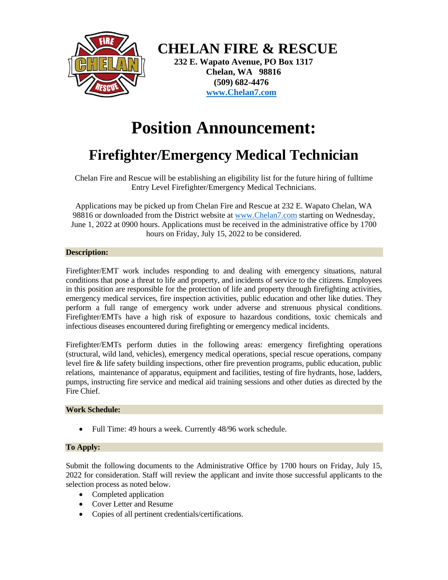

 **CHELAN FIRE & RESCUE**

 **232 E. Wapato Avenue, PO Box 1317 Chelan, WA 98816 (509) 682-4476 [www.Chelan7.com](http://www.chelan7.com/)**

# **Position Announcement:**

# **Firefighter/Emergency Medical Technician**

Chelan Fire and Rescue will be establishing an eligibility list for the future hiring of fulltime Entry Level Firefighter/Emergency Medical Technicians.

Applications may be picked up from Chelan Fire and Rescue at 232 E. Wapato Chelan, WA 98816 or downloaded from the District website at [www.Chelan7.com](http://www.chelan7.com/) starting on Wednesday, June 1, 2022 at 0900 hours. Applications must be received in the administrative office by 1700 hours on Friday, July 15, 2022 to be considered.

# **Description:**

Firefighter/EMT work includes responding to and dealing with emergency situations, natural conditions that pose a threat to life and property, and incidents of service to the citizens. Employees in this position are responsible for the protection of life and property through firefighting activities, emergency medical services, fire inspection activities, public education and other like duties. They perform a full range of emergency work under adverse and strenuous physical conditions. Firefighter/EMTs have a high risk of exposure to hazardous conditions, toxic chemicals and infectious diseases encountered during firefighting or emergency medical incidents.

Firefighter/EMTs perform duties in the following areas: emergency firefighting operations (structural, wild land, vehicles), emergency medical operations, special rescue operations, company level fire & life safety building inspections, other fire prevention programs, public education, public relations, maintenance of apparatus, equipment and facilities, testing of fire hydrants, hose, ladders, pumps, instructing fire service and medical aid training sessions and other duties as directed by the Fire Chief.

# **Work Schedule:**

• Full Time: 49 hours a week. Currently 48/96 work schedule.

# **To Apply:**

Submit the following documents to the Administrative Office by 1700 hours on Friday, July 15, 2022 for consideration. Staff will review the applicant and invite those successful applicants to the selection process as noted below.

- Completed application
- Cover Letter and Resume
- Copies of all pertinent credentials/certifications.